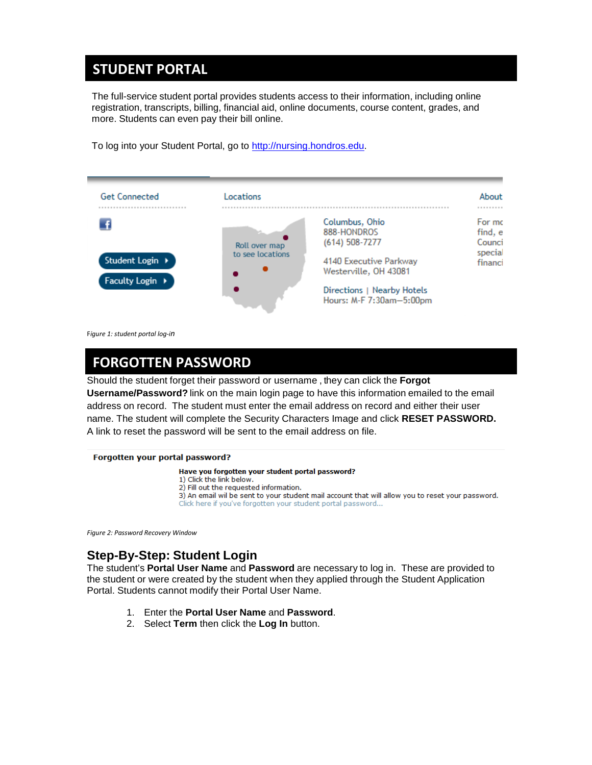### **STUDENT PORTAL STUDENT PORTAL**

The full-service student portal provides students access to their information, including online registration, transcripts, billing, financial aid, online documents, course content, grades, and more. Students can even pay their bill online.

To log into your Student Portal, go to [http://nursing.hondros.edu.](http://nursing.hondros.edu/)



F*igure 1: student portal log-in*

### **FORGOTTEN PASSWORD**

Should the student forget their password or username , they can click the **Forgot Username/Password?** link on the main login page to have this information emailed to the email address on record. The student must enter the email address on record and either their user name. The student will complete the Security Characters Image and click **RESET PASSWORD.** A link to reset the password will be sent to the email address on file.

#### Forgotten your portal password?

Have you forgotten your student portal password? 1) Click the link below. 2) Fill out the requested information. 3) An email wil be sent to your student mail account that will allow you to reset your password. Click here if you've forgotten your student portal password...

*Figure 2: Password Recovery Window*

### **Step-By-Step: Student Login**

The student's **Portal User Name** and **Password** are necessary to log in. These are provided to the student or were created by the student when they applied through the Student Application Portal. Students cannot modify their Portal User Name.

- 1. Enter the **Portal User Name** and **Password**.
- 2. Select **Term** then click the **Log In** button.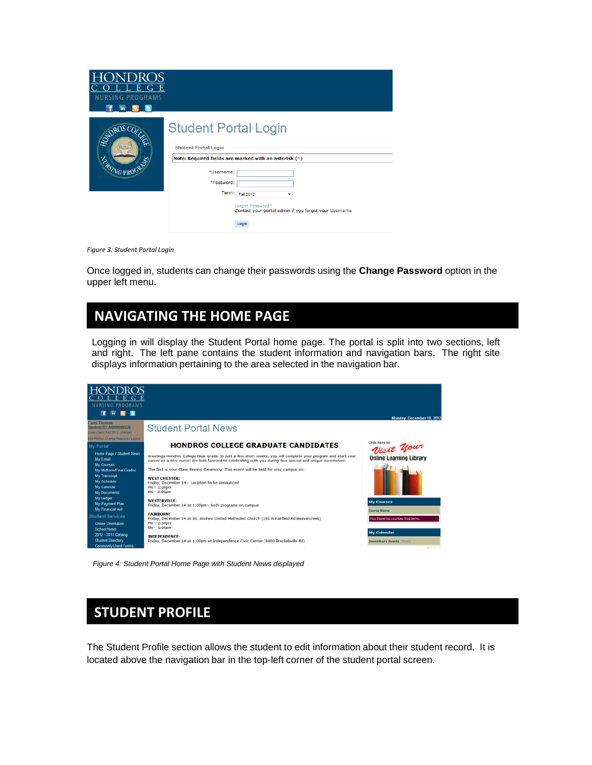| _)R<br>Е<br>Е<br><b>NURSING PROGRAMS</b><br>in |                                                                                                 |                                                                                                                                                 |
|------------------------------------------------|-------------------------------------------------------------------------------------------------|-------------------------------------------------------------------------------------------------------------------------------------------------|
| ENDROIT<br><b>ZASING PROP</b>                  | <b>Student Portal Login</b><br><b>Student Portal Login</b><br>*Username:<br>*Password:<br>Term: | Note: Required fields are marked with an asterisk (*)<br>Fall 2012<br>Forgot Password?<br>Contact your portal admin if you forgot your Username |
|                                                |                                                                                                 | Login                                                                                                                                           |

*Figure 3: Student Portal Login*

Once logged in, students can change their passwords using the **Change Password** option in the upper left menu.

### **NAVIGATING THE HOME PAGE**

Logging in will display the Student Portal home page. The portal is split into two sections, left and right. The left pane contains the student information and navigation bars. The right site displays information pertaining to the area selected in the navigation bar.



*Figure 4: Student Portal Home Page with Student News displayed*

### **STUDENT PROFILE**

The Student Profile section allows the student to edit information about their student record. It is located above the navigation bar in the top-left corner of the student portal screen.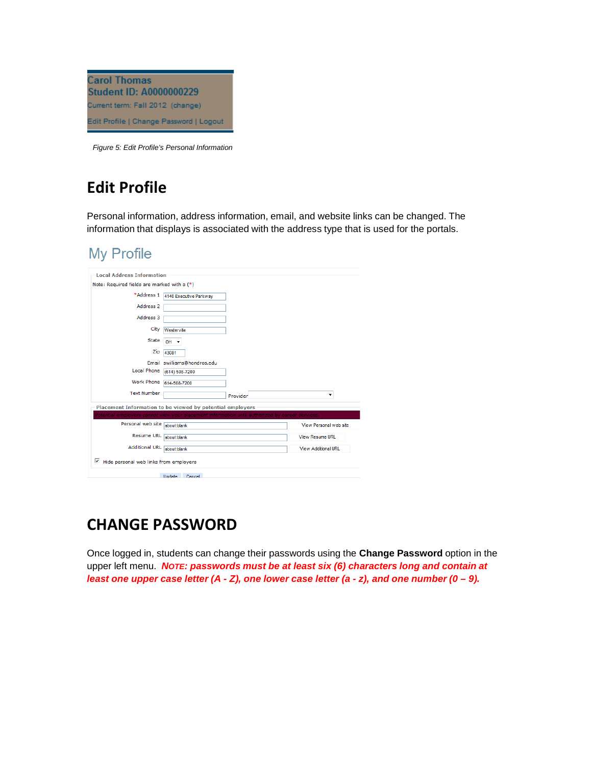

*Figure 5: Edit Profile's Personal Information*

# **Edit Profile**

Personal information, address information, email, and website links can be changed. The information that displays is associated with the address type that is used for the portals.

### **My Profile**

| <b>Local Address Information</b>                          |                                                                                  |          |                        |  |  |  |
|-----------------------------------------------------------|----------------------------------------------------------------------------------|----------|------------------------|--|--|--|
| Note: Required fields are marked with a (*)               |                                                                                  |          |                        |  |  |  |
| *Address 1                                                | 4140 Executive Parkway                                                           |          |                        |  |  |  |
| Address <sub>2</sub>                                      |                                                                                  |          |                        |  |  |  |
|                                                           |                                                                                  |          |                        |  |  |  |
| Address 3                                                 |                                                                                  |          |                        |  |  |  |
| City                                                      | Westerville                                                                      |          |                        |  |  |  |
| <b>State</b>                                              | $OH -$                                                                           |          |                        |  |  |  |
| Zip                                                       | 43081                                                                            |          |                        |  |  |  |
|                                                           | Email swilliams@hondros.edu                                                      |          |                        |  |  |  |
| Local Phone                                               | (614) 508-7200                                                                   |          |                        |  |  |  |
| Work Phone                                                | 614-508-7200                                                                     |          |                        |  |  |  |
| <b>Text Number</b>                                        |                                                                                  | Provider | ▼                      |  |  |  |
| Placement Information to be viewed by potential employers |                                                                                  |          |                        |  |  |  |
|                                                           | tential employers <i>cannot</i> view your placement information until authorized |          | career services.       |  |  |  |
| Personal web site                                         | about:blank                                                                      |          | View Personal web site |  |  |  |
| <b>Resume URL</b>                                         | about:blank                                                                      |          | <b>View Resume URL</b> |  |  |  |
| <b>Additional URL</b>                                     | about blank                                                                      |          | View Additional URL    |  |  |  |
| $\triangledown$ Hide personal web links from employers    |                                                                                  |          |                        |  |  |  |
|                                                           | Undate<br>Cancel                                                                 |          |                        |  |  |  |

## **CHANGE PASSWORD**

Once logged in, students can change their passwords using the **Change Password** option in the upper left menu. *NOTE: passwords must be at least six (6) characters long and contain at*  least one upper case letter  $(A - Z)$ , one lower case letter  $(a - z)$ , and one number  $(0 - 9)$ .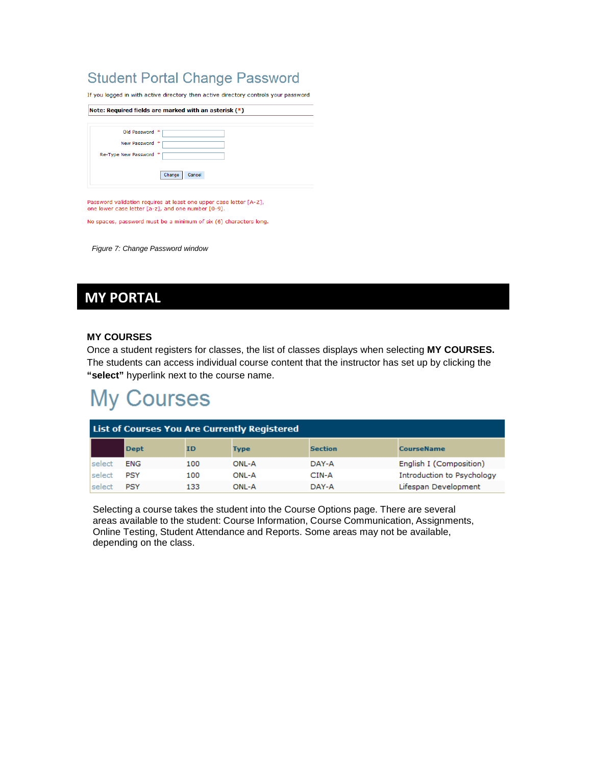### **Student Portal Change Password**

If you logged in with active directory then active directory controls your password

| Note: Required fields are marked with an asterisk (*) |  |  |  |  |  |  |
|-------------------------------------------------------|--|--|--|--|--|--|
| Old Password                                          |  |  |  |  |  |  |
| New Password<br>串                                     |  |  |  |  |  |  |
| Re-Type New Password<br>∗                             |  |  |  |  |  |  |
| Change<br>Cancel                                      |  |  |  |  |  |  |
|                                                       |  |  |  |  |  |  |

Password validation requires at least one upper case letter [A-Z], one lower case letter [a-z], and one number [0-9].

No spaces, password must be a minimum of six (6) characters long.

*Figure 7: Change Password window*

## **MY PORTAL**

#### **MY COURSES**

Once a student registers for classes, the list of classes displays when selecting **MY COURSES.**  The students can access individual course content that the instructor has set up by clicking the **"select"** hyperlink next to the course name.

# **My Courses**

| <b>List of Courses You Are Currently Registered</b>                            |            |     |       |       |                            |  |  |  |
|--------------------------------------------------------------------------------|------------|-----|-------|-------|----------------------------|--|--|--|
| <b>Dept</b><br><b>Section</b><br><b>CourseName</b><br><b>ID</b><br><b>Type</b> |            |     |       |       |                            |  |  |  |
| select                                                                         | <b>ENG</b> | 100 | ONL-A | DAY-A | English I (Composition)    |  |  |  |
| <b>select</b>                                                                  | PSY        | 100 | ONL-A | CIN-A | Introduction to Psychology |  |  |  |
| select                                                                         | <b>PSY</b> | 133 | ONL-A | DAY-A | Lifespan Development       |  |  |  |

Selecting a course takes the student into the Course Options page. There are several areas available to the student: Course Information, Course Communication, Assignments, Online Testing, Student Attendance and Reports. Some areas may not be available, depending on the class.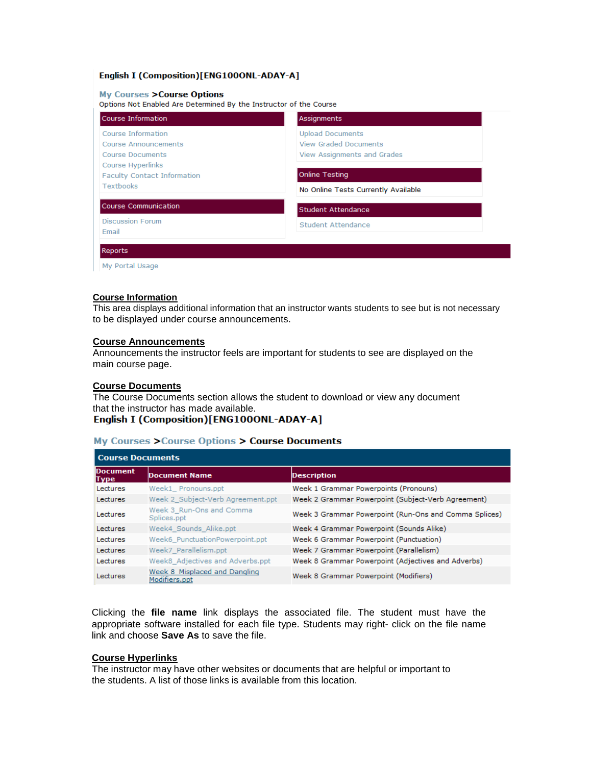#### English I (Composition)[ENG100ONL-ADAY-A]

#### **My Courses > Course Options**

Options Not Enabled Are Determined By the Instructor of the Course

| Course Information                                                                  | Assignments                                                                            |
|-------------------------------------------------------------------------------------|----------------------------------------------------------------------------------------|
| Course Information<br>Course Announcements<br>Course Documents<br>Course Hyperlinks | <b>Upload Documents</b><br><b>View Graded Documents</b><br>View Assignments and Grades |
| Faculty Contact Information<br><b>Textbooks</b>                                     | <b>Online Testing</b><br>No Online Tests Currently Available                           |
| <b>Course Communication</b>                                                         | Student Attendance                                                                     |
| <b>Discussion Forum</b><br>Email                                                    | <b>Student Attendance</b>                                                              |
| Reports                                                                             |                                                                                        |

My Portal Usage

#### **Course Information**

This area displays additional information that an instructor wants students to see but is not necessary to be displayed under course announcements.

#### **Course Announcements**

Announcements the instructor feels are important for students to see are displayed on the main course page.

#### **Course Documents**

The Course Documents section allows the student to download or view any document that the instructor has made available.<br>English I (Composition)[ENG100ONL-ADAY-A]

# **My Courses > Course Options > Course Documents**

|                   | <b>Course Documents</b>                        |                                                       |  |  |  |
|-------------------|------------------------------------------------|-------------------------------------------------------|--|--|--|
| Document<br> Type | <b>Document Name</b>                           | <b>Description</b>                                    |  |  |  |
| Lectures          | Week1 Pronouns.ppt                             | Week 1 Grammar Powerpoints (Pronouns)                 |  |  |  |
| Lectures          | Week 2 Subject-Verb Agreement.ppt              | Week 2 Grammar Powerpoint (Subject-Verb Agreement)    |  |  |  |
| Lectures          | Week 3 Run-Ons and Comma<br>Splices.ppt        | Week 3 Grammar Powerpoint (Run-Ons and Comma Splices) |  |  |  |
| Lectures          | Week4 Sounds Alike.ppt                         | Week 4 Grammar Powerpoint (Sounds Alike)              |  |  |  |
| Lectures          | Week6 PunctuationPowerpoint.ppt                | Week 6 Grammar Powerpoint (Punctuation)               |  |  |  |
| Lectures          | Week7 Parallelism.ppt                          | Week 7 Grammar Powerpoint (Parallelism)               |  |  |  |
| Lectures          | Week8 Adjectives and Adverbs.ppt               | Week 8 Grammar Powerpoint (Adjectives and Adverbs)    |  |  |  |
| Lectures          | Week 8 Misplaced and Dangling<br>Modifiers.ppt | Week 8 Grammar Powerpoint (Modifiers)                 |  |  |  |

Clicking the **file name** link displays the associated file. The student must have the appropriate software installed for each file type. Students may right- click on the file name link and choose **Save As** to save the file.

### **Course Hyperlinks**

The instructor may have other websites or documents that are helpful or important to the students. A list of those links is available from this location.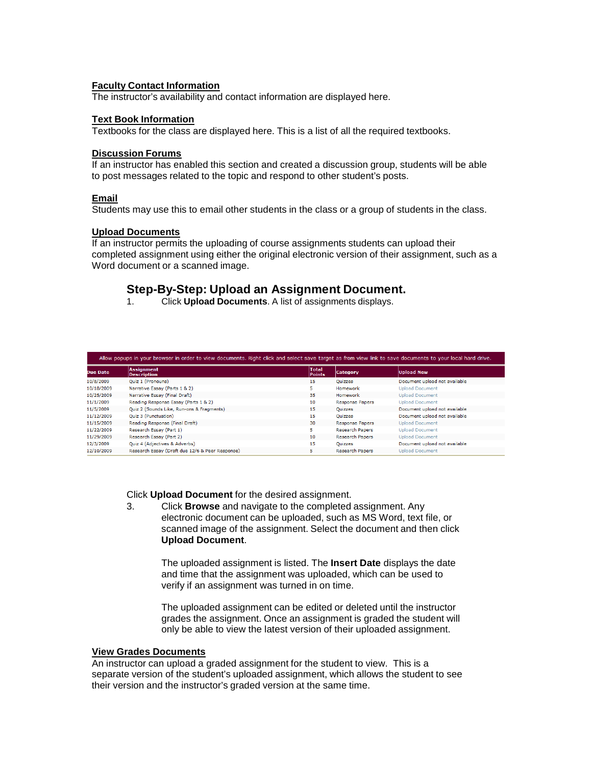#### **Faculty Contact Information**

The instructor's availability and contact information are displayed here.

#### **Text Book Information**

Textbooks for the class are displayed here. This is a list of all the required textbooks.

#### **Discussion Forums**

If an instructor has enabled this section and created a discussion group, students will be able to post messages related to the topic and respond to other student's posts.

#### **Email**

Students may use this to email other students in the class or a group of students in the class.

#### **Upload Documents**

If an instructor permits the uploading of course assignments students can upload their completed assignment using either the original electronic version of their assignment, such as a Word document or a scanned image.

# **Step-By-Step: Upload an Assignment Document.**

1. Click **Upload Documents**. A list of assignments displays.

|                 | Allow popups in your browser in order to view documents. Right click and select save target as from view link to save documents to your local hard drive. |                               |                        |                               |  |  |  |
|-----------------|-----------------------------------------------------------------------------------------------------------------------------------------------------------|-------------------------------|------------------------|-------------------------------|--|--|--|
| <b>Due Date</b> | <b>Assignment</b><br><b>Description</b>                                                                                                                   | <b>Total</b><br><b>Points</b> | <b>Category</b>        | <b>Upload New</b>             |  |  |  |
| 10/8/2009       | Ouiz 1 (Pronouns)                                                                                                                                         | 15                            | <b>Ouizzes</b>         | Document upload not available |  |  |  |
| 10/18/2009      | Narrative Essay (Parts 1 & 2)                                                                                                                             | 5                             | Homework               | <b>Upload Document</b>        |  |  |  |
| 10/25/2009      | Narrative Essay (Final Draft)                                                                                                                             | 35                            | Homework               | <b>Upload Document</b>        |  |  |  |
| 11/1/2009       | Reading Response Essay (Parts 1 & 2)                                                                                                                      | 10                            | <b>Response Papers</b> | <b>Upload Document</b>        |  |  |  |
| 11/5/2009       | Quiz 2 (Sounds Like, Run-ons & Fragments)                                                                                                                 | 15                            | Ouizzes                | Document upload not available |  |  |  |
| 11/12/2009      | Ouiz 3 (Punctuation)                                                                                                                                      | 15                            | Ouizzes                | Document upload not available |  |  |  |
| 11/15/2009      | Reading Response (Final Draft)                                                                                                                            | 30                            | <b>Response Papers</b> | <b>Upload Document</b>        |  |  |  |
| 11/22/2009      | Research Essay (Part 1)                                                                                                                                   | 5.                            | <b>Research Papers</b> | <b>Upload Document</b>        |  |  |  |
| 11/29/2009      | Research Essay (Part 2)                                                                                                                                   | 10                            | <b>Research Papers</b> | <b>Upload Document</b>        |  |  |  |
| 12/3/2009       | Quiz 4 (Adjectives & Adverbs)                                                                                                                             | 15                            | Quizzes                | Document upload not available |  |  |  |
| 12/10/2009      | Research Essay (Draft due 12/6 & Peer Response)                                                                                                           | 5                             | <b>Research Papers</b> | <b>Upload Document</b>        |  |  |  |

Click **Upload Document** for the desired assignment.

3. Click **Browse** and navigate to the completed assignment. Any electronic document can be uploaded, such as MS Word, text file, or scanned image of the assignment. Select the document and then click **Upload Document**.

The uploaded assignment is listed. The **Insert Date** displays the date and time that the assignment was uploaded, which can be used to verify if an assignment was turned in on time.

The uploaded assignment can be edited or deleted until the instructor grades the assignment. Once an assignment is graded the student will only be able to view the latest version of their uploaded assignment.

#### **View Grades Documents**

An instructor can upload a graded assignment for the student to view. This is a separate version of the student's uploaded assignment, which allows the student to see their version and the instructor's graded version at the same time.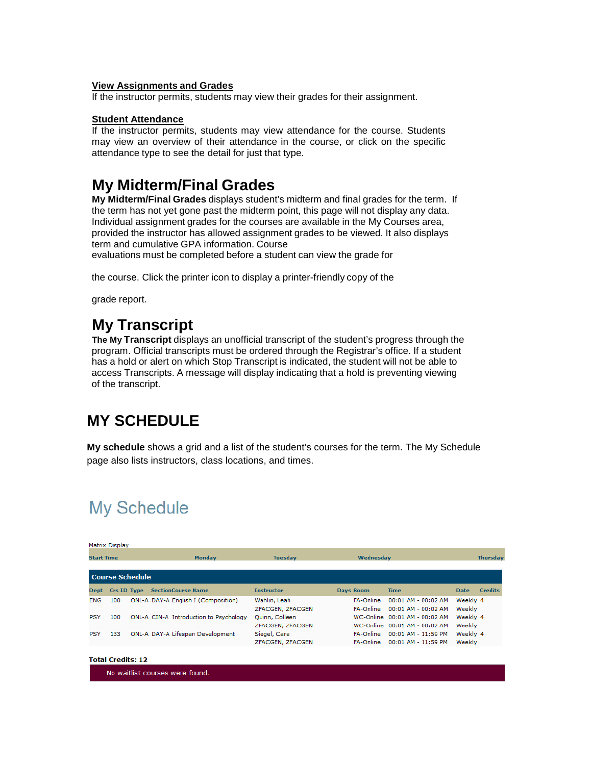#### **View Assignments and Grades**

If the instructor permits, students may view their grades for their assignment.

#### **Student Attendance**

If the instructor permits, students may view attendance for the course. Students may view an overview of their attendance in the course, or click on the specific attendance type to see the detail for just that type.

### **My Midterm/Final Grades**

**My Midterm/Final Grades** displays student's midterm and final grades for the term. If the term has not yet gone past the midterm point, this page will not display any data. Individual assignment grades for the courses are available in the My Courses area, provided the instructor has allowed assignment grades to be viewed. It also displays term and cumulative GPA information. Course

evaluations must be completed before a student can view the grade for

the course. Click the printer icon to display a printer-friendly copy of the

grade report.

## **My Transcript**

**The My Transcript** displays an unofficial transcript of the student's progress through the program. Official transcripts must be ordered through the Registrar's office. If a student has a hold or alert on which Stop Transcript is indicated, the student will not be able to access Transcripts. A message will display indicating that a hold is preventing viewing of the transcript.

## **MY SCHEDULE**

**My schedule** shows a grid and a list of the student's courses for the term. The My Schedule page also lists instructors, class locations, and times.

# **My Schedule**

|                   | Matrix Display         |  |                                        |                                    |                                      |                                                                |                    |                 |  |
|-------------------|------------------------|--|----------------------------------------|------------------------------------|--------------------------------------|----------------------------------------------------------------|--------------------|-----------------|--|
| <b>Start Time</b> |                        |  | <b>Monday</b>                          | <b>Tuesday</b>                     | Wednesday                            |                                                                |                    | <b>Thursday</b> |  |
|                   | <b>Course Schedule</b> |  |                                        |                                    |                                      |                                                                |                    |                 |  |
| <b>Dept</b>       | Crs ID Type            |  | <b>SectionCourse Name</b>              | <b>Instructor</b>                  | <b>Days Room</b>                     | <b>Time</b>                                                    | <b>Date</b>        | <b>Credits</b>  |  |
| <b>ENG</b>        | 100                    |  | ONL-A DAY-A English I (Composition)    | Wahlin, Leah<br>ZFACGEN, ZFACGEN   | <b>FA-Online</b><br><b>FA-Online</b> | 00:01 AM - 00:02 AM<br>00:01 AM - 00:02 AM                     | Weekly 4<br>Weekly |                 |  |
| <b>PSY</b>        | 100                    |  | ONL-A CIN-A Introduction to Psychology | Quinn, Colleen<br>ZFACGEN, ZFACGEN |                                      | WC-Online 00:01 AM - 00:02 AM<br>WC-Online 00:01 AM - 00:02 AM | Weekly 4<br>Weekly |                 |  |
| <b>PSY</b>        | 133                    |  | ONL-A DAY-A Lifespan Development       | Siegel, Cara<br>ZFACGEN, ZFACGEN   | <b>FA-Online</b><br><b>FA-Online</b> | 00:01 AM - 11:59 PM<br>00:01 AM - 11:59 PM                     | Weekly 4<br>Weekly |                 |  |

| Total Credits: 12 |  |
|-------------------|--|
|                   |  |

No waitlist courses were found.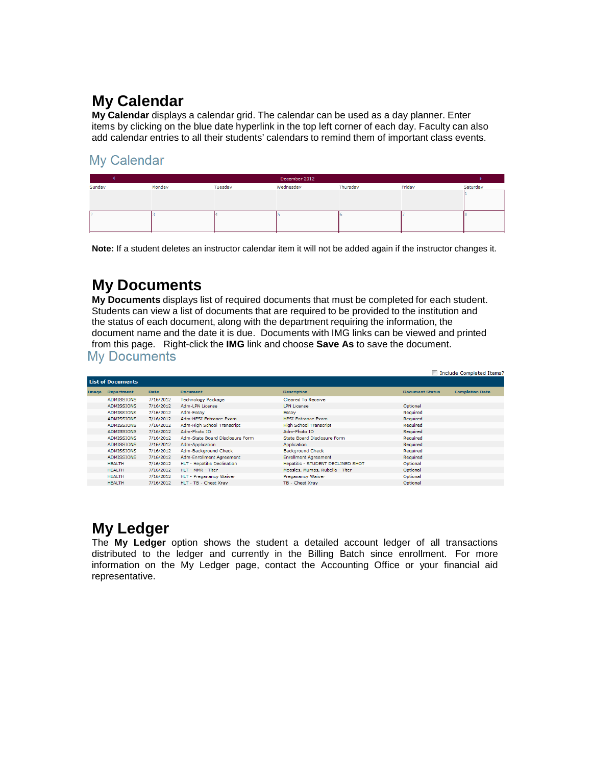# **My Calendar**

**My Calendar** displays a calendar grid. The calendar can be used as a day planner. Enter items by clicking on the blue date hyperlink in the top left corner of each day. Faculty can also add calendar entries to all their students' calendars to remind them of important class events.

### **Mv Calendar**

|        | December 2012 |         |           |          |        |          |
|--------|---------------|---------|-----------|----------|--------|----------|
| Sunday | Monday        | Tuesday | Wednesday | Thursday | Friday | Saturday |
|        |               |         |           |          |        |          |
|        |               |         |           |          |        |          |
|        |               |         |           |          |        |          |
|        |               |         |           |          |        |          |
|        |               |         |           |          |        |          |

**Note:** If a student deletes an instructor calendar item it will not be added again if the instructor changes it.

## **My Documents**

**My Documents** displays list of required documents that must be completed for each student. Students can view a list of documents that are required to be provided to the institution and the status of each document, along with the department requiring the information, the document name and the date it is due. Documents with IMG links can be viewed and printed from this page. Right-click the **IMG** link and choose **Save As** to save the document.

|       | Include Completed Items? |             |                                 |                                   |                        |                        |  |  |  |
|-------|--------------------------|-------------|---------------------------------|-----------------------------------|------------------------|------------------------|--|--|--|
|       | <b>List of Documents</b> |             |                                 |                                   |                        |                        |  |  |  |
| Image | <b>Department</b>        | <b>Date</b> | <b>Document</b>                 | <b>Description</b>                | <b>Document Status</b> | <b>Completion Date</b> |  |  |  |
|       | <b>ADMISSIONS</b>        | 7/16/2012   | <b>Technology Package</b>       | Cleared To Receive                |                        |                        |  |  |  |
|       | <b>ADMISSIONS</b>        | 7/16/2012   | Adm-LPN License                 | <b>LPN License</b>                | Optional               |                        |  |  |  |
|       | <b>ADMISSIONS</b>        | 7/16/2012   | Adm-Essav                       | Essay                             | Required               |                        |  |  |  |
|       | <b>ADMISSIONS</b>        | 7/16/2012   | <b>Adm-HESI Entrance Exam</b>   | <b>HESI Entrance Exam</b>         | Required               |                        |  |  |  |
|       | <b>ADMISSIONS</b>        | 7/16/2012   | Adm-High School Transcript      | <b>High School Transcript</b>     | Required               |                        |  |  |  |
|       | <b>ADMISSIONS</b>        | 7/16/2012   | Adm-Photo ID                    | Adm-Photo ID                      | Required               |                        |  |  |  |
|       | <b>ADMISSIONS</b>        | 7/16/2012   | Adm-State Board Disclosure Form | State Board Disclosure Form       | Required               |                        |  |  |  |
|       | <b>ADMISSIONS</b>        | 7/16/2012   | Adm-Application                 | Application                       | Required               |                        |  |  |  |
|       | <b>ADMISSIONS</b>        | 7/16/2012   | Adm-Background Check            | <b>Background Check</b>           | Required               |                        |  |  |  |
|       | <b>ADMISSIONS</b>        | 7/16/2012   | Adm-Enrollment Agreement        | <b>Enrollment Agreement</b>       | Required               |                        |  |  |  |
|       | <b>HEALTH</b>            | 7/16/2012   | HLT - Hepatitis Declination     | Hepatitis - STUDENT DECLINED SHOT | Optional               |                        |  |  |  |
|       | <b>HEALTH</b>            | 7/16/2012   | HLT - MMR - Titer               | Measles, Mumps, Rubella - Titer   | Optional               |                        |  |  |  |
|       | <b>HEALTH</b>            | 7/16/2012   | HLT - Preganancy Waiver         | Preganancy Waiver                 | Optional               |                        |  |  |  |
|       | <b>HEALTH</b>            | 7/16/2012   | HLT - TB - Chest Xrav           | TB - Chest Xrav                   | Optional               |                        |  |  |  |

# **My Ledger**

The **My Ledger** option shows the student a detailed account ledger of all transactions distributed to the ledger and currently in the Billing Batch since enrollment. For more information on the My Ledger page, contact the Accounting Office or your financial aid representative.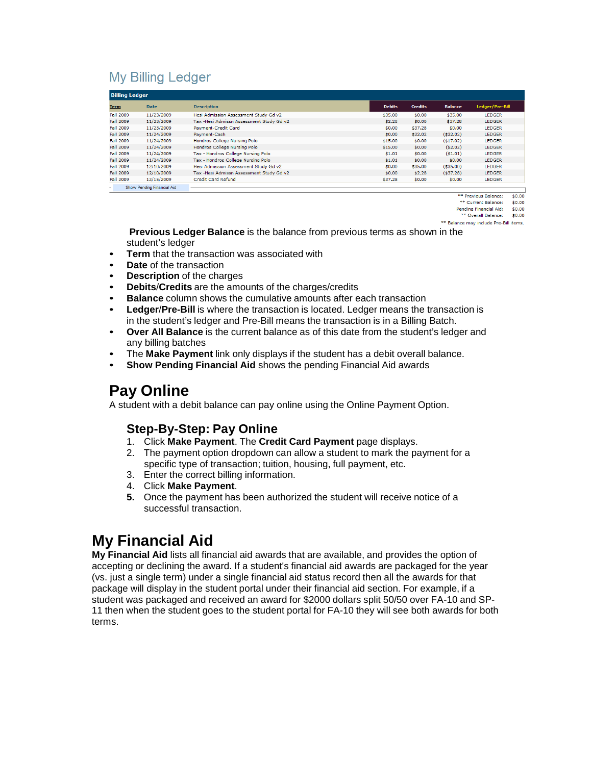### **My Billing Ledger**

|                  | <b>Billing Ledger</b>      |                                          |               |                |                |                 |  |  |
|------------------|----------------------------|------------------------------------------|---------------|----------------|----------------|-----------------|--|--|
| <b>Term</b>      | <b>Date</b>                | <b>Description</b>                       | <b>Debits</b> | <b>Credits</b> | <b>Balance</b> | Ledger/Pre-Bill |  |  |
| <b>Fall 2009</b> | 11/23/2009                 | Hesi Admission Assessment Study Gd v2    | \$35.00       | \$0.00         | \$35.00        | <b>LEDGER</b>   |  |  |
| <b>Fall 2009</b> | 11/23/2009                 | Tax -Hesi Admissn Assessment Study Gd v2 | \$2.28        | \$0.00         | \$37.28        | <b>LEDGER</b>   |  |  |
| <b>Fall 2009</b> | 11/23/2009                 | <b>Payment-Credit Card</b>               | \$0.00        | \$37.28        | \$0.00         | <b>LEDGER</b>   |  |  |
| <b>Fall 2009</b> | 11/24/2009                 | Payment-Cash                             | \$0.00        | \$32.02        | (532.02)       | <b>LEDGER</b>   |  |  |
| <b>Fall 2009</b> | 11/24/2009                 | Hondros College Nursing Polo             | \$15.00       | \$0.00         | $($ \$17.02)   | <b>LEDGER</b>   |  |  |
| <b>Fall 2009</b> | 11/24/2009                 | Hondros College Nursing Polo             | \$15.00       | \$0.00         | (52.02)        | <b>LEDGER</b>   |  |  |
| <b>Fall 2009</b> | 11/24/2009                 | Tax - Hondros College Nursing Polo       | \$1.01        | \$0.00         | ( \$1.01)      | <b>LEDGER</b>   |  |  |
| <b>Fall 2009</b> | 11/24/2009                 | Tax - Hondros College Nursing Polo       | \$1.01        | \$0.00         | \$0.00         | <b>LEDGER</b>   |  |  |
| <b>Fall 2009</b> | 12/10/2009                 | Hesi Admission Assessment Study Gd v2    | \$0.00        | \$35.00        | $($ \$35.00)   | <b>LEDGER</b>   |  |  |
| <b>Fall 2009</b> | 12/10/2009                 | Tax -Hesi Admissn Assessment Study Gd v2 | \$0.00        | \$2.28         | (537.28)       | <b>LEDGER</b>   |  |  |
| <b>Fall 2009</b> | 12/15/2009                 | <b>Credit Card Refund</b>                | \$37.28       | \$0.00         | \$0.00         | <b>LEDGER</b>   |  |  |
| $\sim$           | Show Pending Financial Aid |                                          |               |                |                |                 |  |  |

\*\* Previous Balance:  $\epsilon$ n nn \*\* Current Balance:  $$0.00$ 

Pending Financial Aid:  $$0.00$ 

\*\* Overall Balance: \$0.00

\*\* Balance may include Pre-Bill items.

**Previous Ledger Balance** is the balance from previous terms as shown in the student's ledger

- **Term** that the transaction was associated with
- **Date** of the transaction
- **Description** of the charges
- **Debits**/**Credits** are the amounts of the charges/credits
- **Balance** column shows the cumulative amounts after each transaction
- **Ledger**/**Pre-Bill** is where the transaction is located. Ledger means the transaction is in the student's ledger and Pre-Bill means the transaction is in a Billing Batch.
- **Over All Balance** is the current balance as of this date from the student's ledger and any billing batches
- The **Make Payment** link only displays if the student has a debit overall balance.
- **Show Pending Financial Aid** shows the pending Financial Aid awards

## **Pay Online**

A student with a debit balance can pay online using the Online Payment Option.

### **Step-By-Step: Pay Online**

- 1. Click **Make Payment**. The **Credit Card Payment** page displays.
- 2. The payment option dropdown can allow a student to mark the payment for a specific type of transaction; tuition, housing, full payment, etc.
- 3. Enter the correct billing information.
- 4. Click **Make Payment**.
- **5.** Once the payment has been authorized the student will receive notice of a successful transaction.

## **My Financial Aid**

**My Financial Aid** lists all financial aid awards that are available, and provides the option of accepting or declining the award. If a student's financial aid awards are packaged for the year (vs. just a single term) under a single financial aid status record then all the awards for that package will display in the student portal under their financial aid section. For example, if a student was packaged and received an award for \$2000 dollars split 50/50 over FA-10 and SP-11 then when the student goes to the student portal for FA-10 they will see both awards for both terms.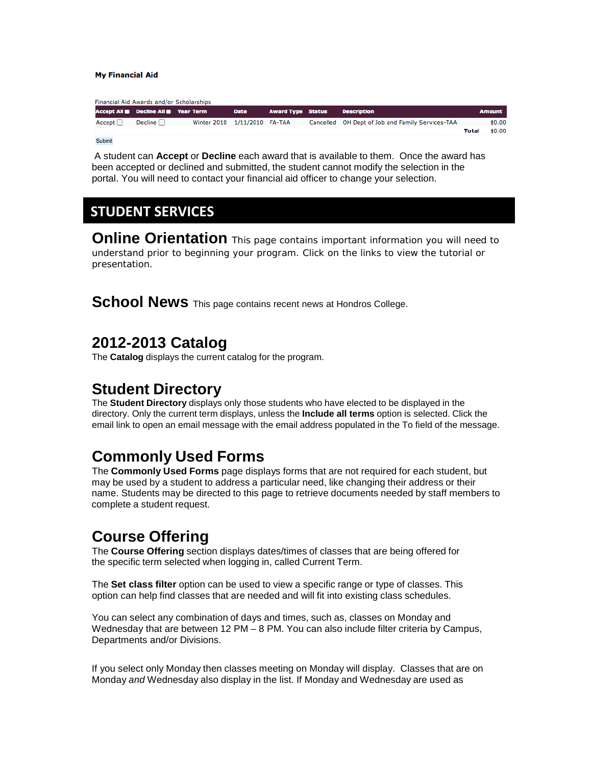#### **My Financial Aid**

| Financial Aid Awards and/or Scholarships |  |                                           |                              |             |                          |  |                                                  |       |               |
|------------------------------------------|--|-------------------------------------------|------------------------------|-------------|--------------------------|--|--------------------------------------------------|-------|---------------|
|                                          |  | Accept All <b>Decline All B</b> Year Term |                              | <b>Date</b> | <b>Award Type Status</b> |  | <b>Description</b>                               |       | <b>Amount</b> |
| Accept                                   |  | Decline $\Box$                            | Winter 2010 1/11/2010 FA-TAA |             |                          |  | Cancelled OH Dept of Job and Family Services-TAA |       | \$0.00        |
|                                          |  |                                           |                              |             |                          |  |                                                  | Total | \$0.00        |
|                                          |  |                                           |                              |             |                          |  |                                                  |       |               |

Submit

A student can **Accept** or **Decline** each award that is available to them. Once the award has been accepted or declined and submitted, the student cannot modify the selection in the portal. You will need to contact your financial aid officer to change your selection.

### **STUDENT SERVICES**

**Online Orientation** This page contains important information you will need to understand prior to beginning your program. Click on the links to view the tutorial or presentation.

**School News** This page contains recent news at Hondros College.

### **2012-2013 Catalog**

The **Catalog** displays the current catalog for the program.

### **Student Directory**

The **Student Directory** displays only those students who have elected to be displayed in the directory. Only the current term displays, unless the **Include all terms** option is selected. Click the email link to open an email message with the email address populated in the To field of the message.

## **Commonly Used Forms**

The **Commonly Used Forms** page displays forms that are not required for each student, but may be used by a student to address a particular need, like changing their address or their name. Students may be directed to this page to retrieve documents needed by staff members to complete a student request.

## **Course Offering**

The **Course Offering** section displays dates/times of classes that are being offered for the specific term selected when logging in, called Current Term.

The **Set class filter** option can be used to view a specific range or type of classes. This option can help find classes that are needed and will fit into existing class schedules.

You can select any combination of days and times, such as, classes on Monday and Wednesday that are between 12 PM – 8 PM. You can also include filter criteria by Campus, Departments and/or Divisions.

If you select only Monday then classes meeting on Monday will display. Classes that are on Monday *and* Wednesday also display in the list. If Monday and Wednesday are used as